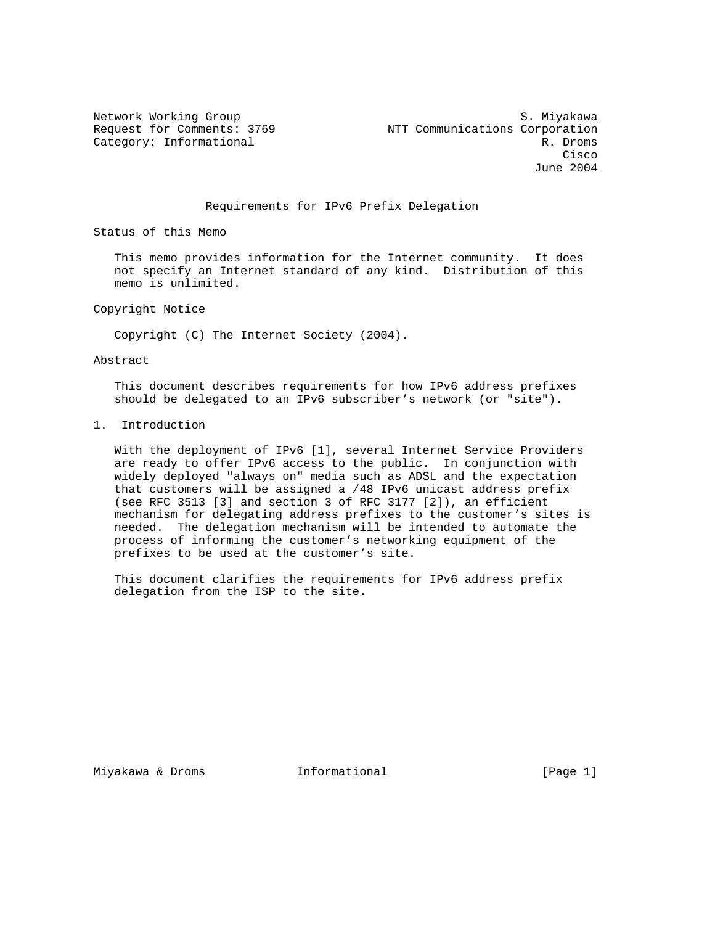Network Working Group S. Miyakawa Request for Comments: 3769 NTT Communications Corporation Category: Informational R. Droms **Cisco de la constitución de la constitución de la constitución de la constitución de la constitución de la co** June 2004

## Requirements for IPv6 Prefix Delegation

Status of this Memo

 This memo provides information for the Internet community. It does not specify an Internet standard of any kind. Distribution of this memo is unlimited.

Copyright Notice

Copyright (C) The Internet Society (2004).

Abstract

 This document describes requirements for how IPv6 address prefixes should be delegated to an IPv6 subscriber's network (or "site").

1. Introduction

 With the deployment of IPv6 [1], several Internet Service Providers are ready to offer IPv6 access to the public. In conjunction with widely deployed "always on" media such as ADSL and the expectation that customers will be assigned a /48 IPv6 unicast address prefix (see RFC 3513 [3] and section 3 of RFC 3177 [2]), an efficient mechanism for delegating address prefixes to the customer's sites is needed. The delegation mechanism will be intended to automate the process of informing the customer's networking equipment of the prefixes to be used at the customer's site.

 This document clarifies the requirements for IPv6 address prefix delegation from the ISP to the site.

Miyakawa & Droms **Informational Informational** [Page 1]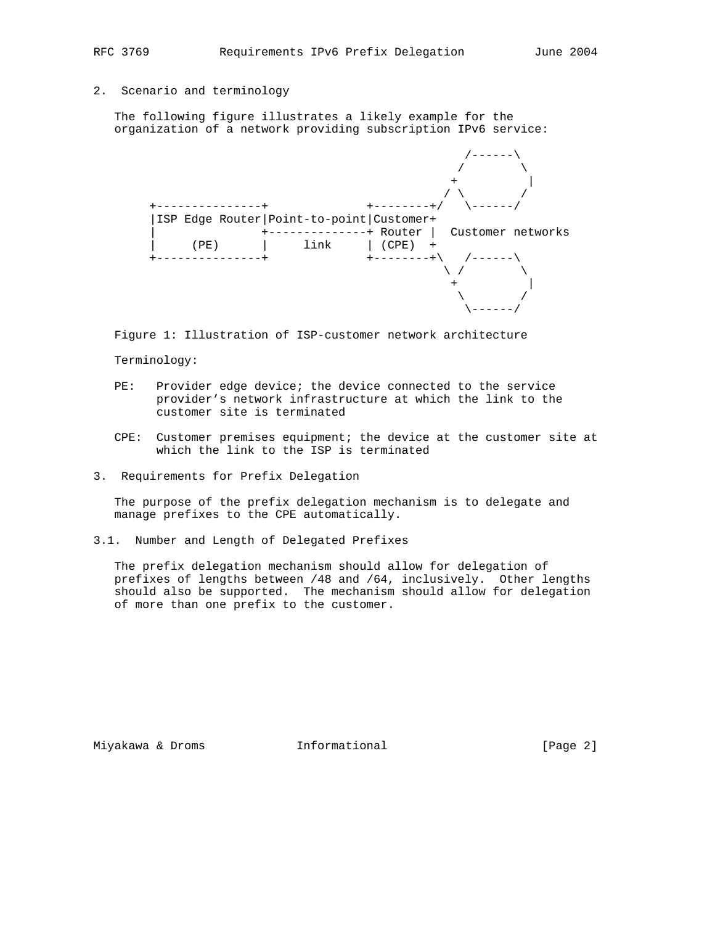# 2. Scenario and terminology

 The following figure illustrates a likely example for the organization of a network providing subscription IPv6 service:

|      |                                              | $+ - - - - - - - + 1$   |                   |  |  |
|------|----------------------------------------------|-------------------------|-------------------|--|--|
|      | ISP Edge Router   Point-to-point   Customer+ |                         |                   |  |  |
|      |                                              | -+ Router               | Customer networks |  |  |
| (PE) | link                                         | (CPE)                   | $+$               |  |  |
|      |                                              | $+ - - - - - - - + \ \$ |                   |  |  |
|      |                                              |                         |                   |  |  |
|      |                                              |                         |                   |  |  |
|      |                                              |                         |                   |  |  |

Figure 1: Illustration of ISP-customer network architecture

### Terminology:

- PE: Provider edge device; the device connected to the service provider's network infrastructure at which the link to the customer site is terminated
- CPE: Customer premises equipment; the device at the customer site at which the link to the ISP is terminated
- 3. Requirements for Prefix Delegation

 The purpose of the prefix delegation mechanism is to delegate and manage prefixes to the CPE automatically.

3.1. Number and Length of Delegated Prefixes

 The prefix delegation mechanism should allow for delegation of prefixes of lengths between /48 and /64, inclusively. Other lengths should also be supported. The mechanism should allow for delegation of more than one prefix to the customer.

Miyakawa & Droms **Informational Informational** [Page 2]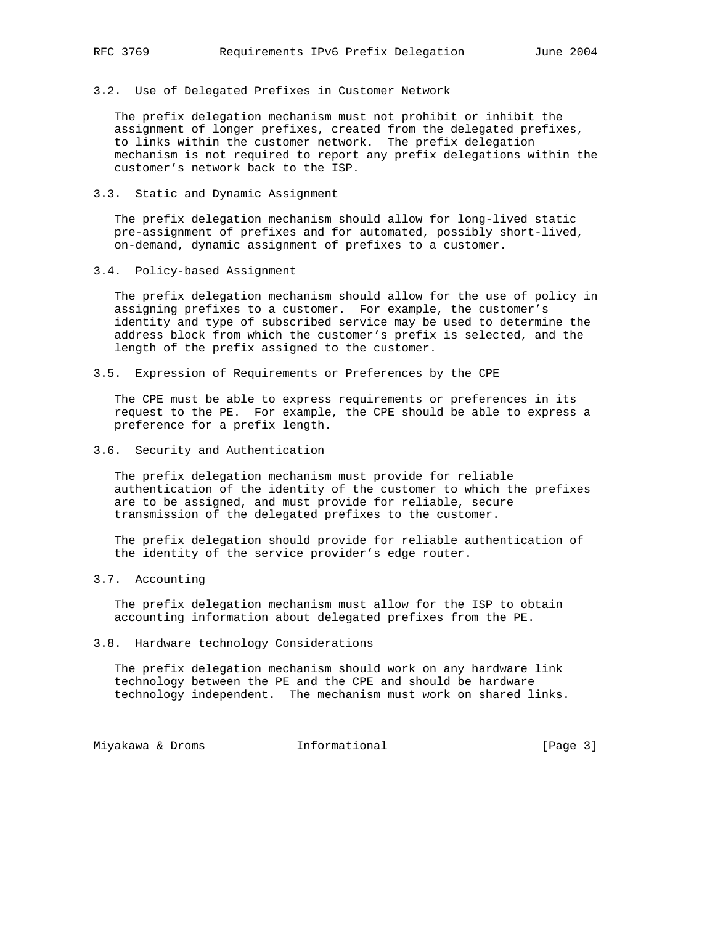3.2. Use of Delegated Prefixes in Customer Network

 The prefix delegation mechanism must not prohibit or inhibit the assignment of longer prefixes, created from the delegated prefixes, to links within the customer network. The prefix delegation mechanism is not required to report any prefix delegations within the customer's network back to the ISP.

3.3. Static and Dynamic Assignment

 The prefix delegation mechanism should allow for long-lived static pre-assignment of prefixes and for automated, possibly short-lived, on-demand, dynamic assignment of prefixes to a customer.

3.4. Policy-based Assignment

 The prefix delegation mechanism should allow for the use of policy in assigning prefixes to a customer. For example, the customer's identity and type of subscribed service may be used to determine the address block from which the customer's prefix is selected, and the length of the prefix assigned to the customer.

3.5. Expression of Requirements or Preferences by the CPE

 The CPE must be able to express requirements or preferences in its request to the PE. For example, the CPE should be able to express a preference for a prefix length.

3.6. Security and Authentication

 The prefix delegation mechanism must provide for reliable authentication of the identity of the customer to which the prefixes are to be assigned, and must provide for reliable, secure transmission of the delegated prefixes to the customer.

 The prefix delegation should provide for reliable authentication of the identity of the service provider's edge router.

3.7. Accounting

 The prefix delegation mechanism must allow for the ISP to obtain accounting information about delegated prefixes from the PE.

3.8. Hardware technology Considerations

 The prefix delegation mechanism should work on any hardware link technology between the PE and the CPE and should be hardware technology independent. The mechanism must work on shared links.

Miyakawa & Droms Informational [Page 3]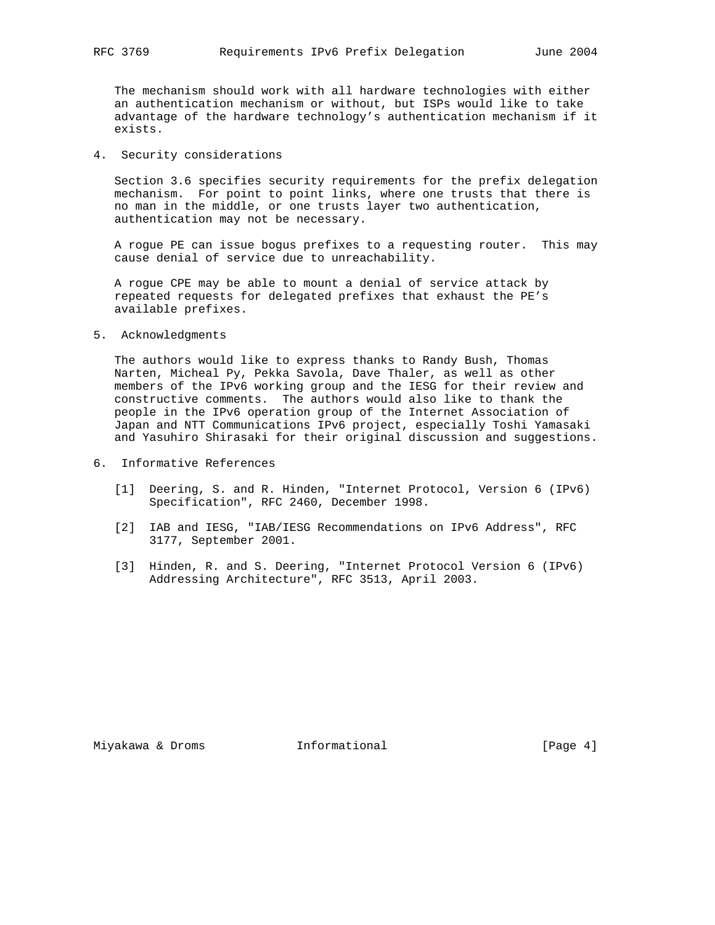The mechanism should work with all hardware technologies with either an authentication mechanism or without, but ISPs would like to take advantage of the hardware technology's authentication mechanism if it exists.

4. Security considerations

 Section 3.6 specifies security requirements for the prefix delegation mechanism. For point to point links, where one trusts that there is no man in the middle, or one trusts layer two authentication, authentication may not be necessary.

 A rogue PE can issue bogus prefixes to a requesting router. This may cause denial of service due to unreachability.

 A rogue CPE may be able to mount a denial of service attack by repeated requests for delegated prefixes that exhaust the PE's available prefixes.

5. Acknowledgments

 The authors would like to express thanks to Randy Bush, Thomas Narten, Micheal Py, Pekka Savola, Dave Thaler, as well as other members of the IPv6 working group and the IESG for their review and constructive comments. The authors would also like to thank the people in the IPv6 operation group of the Internet Association of Japan and NTT Communications IPv6 project, especially Toshi Yamasaki and Yasuhiro Shirasaki for their original discussion and suggestions.

- 6. Informative References
	- [1] Deering, S. and R. Hinden, "Internet Protocol, Version 6 (IPv6) Specification", RFC 2460, December 1998.
	- [2] IAB and IESG, "IAB/IESG Recommendations on IPv6 Address", RFC 3177, September 2001.
	- [3] Hinden, R. and S. Deering, "Internet Protocol Version 6 (IPv6) Addressing Architecture", RFC 3513, April 2003.

Miyakawa & Droms **Informational Informational** [Page 4]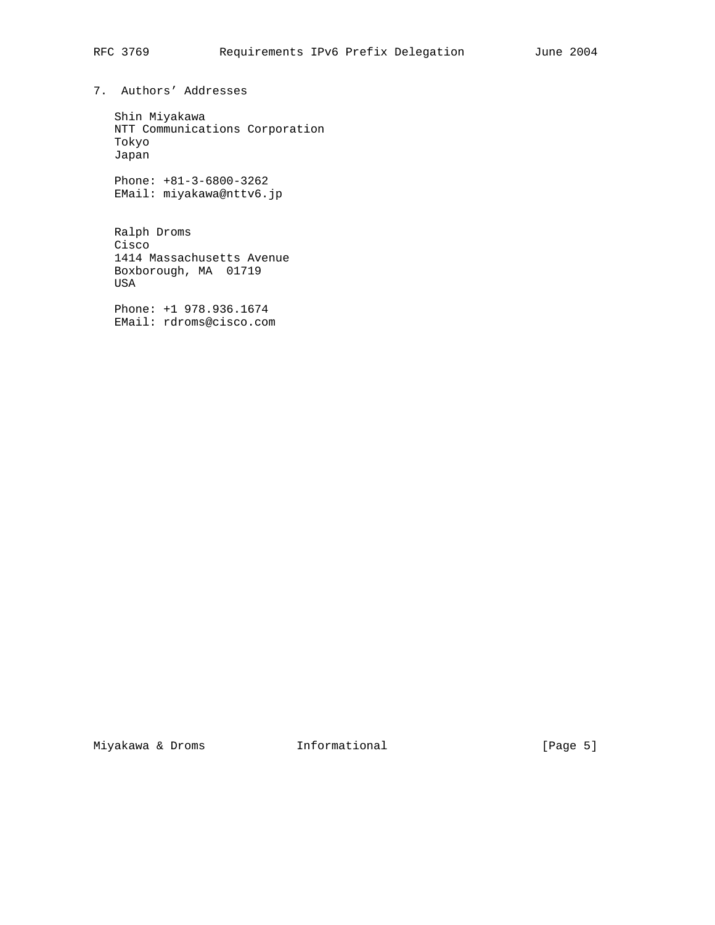7. Authors' Addresses

 Shin Miyakawa NTT Communications Corporation Tokyo Japan

 Phone: +81-3-6800-3262 EMail: miyakawa@nttv6.jp

 Ralph Droms Cisco 1414 Massachusetts Avenue Boxborough, MA 01719 USA

 Phone: +1 978.936.1674 EMail: rdroms@cisco.com